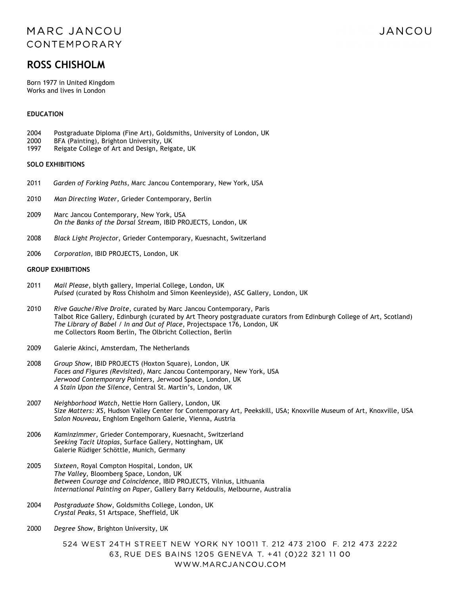## MARC JANCOU CONTEMPORARY

# JANCOU

# **ROSS CHISHOLM**

Born 1977 in United Kingdom Works and lives in London

#### **EDUCATION**

- 2004 Postgraduate Diploma (Fine Art), Goldsmiths, University of London, UK
- 2000 BFA (Painting), Brighton University, UK
- 1997 Reigate College of Art and Design, Reigate, UK

#### **SOLO EXHIBITIONS**

- 2011 *Garden of Forking Paths*, Marc Jancou Contemporary, New York, USA
- 2010 *Man Directing Water,* Grieder Contemporary, Berlin
- 2009 Marc Jancou Contemporary, New York, USA *On the Banks of the Dorsal Stream*, IBID PROJECTS, London, UK
- 2008 *Black Light Projector*, Grieder Contemporary, Kuesnacht, Switzerland
- 2006 *Corporation*, IBID PROJECTS, London, UK

#### **GROUP EXHIBITIONS**

- 2011 *Mail Please*, blyth gallery, Imperial College, London, UK *Pulsed* (curated by Ross Chisholm and Simon Keenleyside), ASC Gallery, London, UK
- 2010 *Rive Gauche/Rive Droite*, curated by Marc Jancou Contemporary, Paris Talbot Rice Gallery, Edinburgh (curated by Art Theory postgraduate curators from Edinburgh College of Art, Scotland) *The Library of Babel / In and Out of Place*, Projectspace 176, London, UK me Collectors Room Berlin, The Olbricht Collection, Berlin
- 2009 Galerie Akinci, Amsterdam, The Netherlands
- 2008 *Group Show*, IBID PROJECTS (Hoxton Square), London, UK *Faces and Figures (Revisited),* Marc Jancou Contemporary, New York, USA *Jerwood Contemporary Painters*, Jerwood Space, London, UK *A Stain Upon the Silence*, Central St. Martin's, London, UK
- 2007 *Neighborhood Watch*, Nettie Horn Gallery, London, UK *Size Matters: XS*, Hudson Valley Center for Contemporary Art, Peekskill, USA; Knoxville Museum of Art, Knoxville, USA *Salon Nouveau*, Enghlom Engelhorn Galerie, Vienna, Austria
- 2006 *Kaminzimmer*, Grieder Contemporary, Kuesnacht, Switzerland *Seeking Tacit Utopias*, Surface Gallery, Nottingham, UK Galerie Rüdiger Schöttle, Munich, Germany
- 2005 *Sixteen*, Royal Compton Hospital, London, UK *The Valley,* Bloomberg Space, London, UK *Between Courage and Coincidence*, IBID PROJECTS, Vilnius, Lithuania *International Painting on Paper*, Gallery Barry Keldoulis, Melbourne, Australia
- 2004 *Postgraduate Show*, Goldsmiths College, London, UK *Crystal Peaks,* S1 Artspace, Sheffield, UK
- 2000 *Degree Show,* Brighton University, UK

524 WEST 24TH STREET NEW YORK NY 10011 T, 212 473 2100 F, 212 473 2222 63, RUE DES BAINS 1205 GENEVA T. +41 (0)22 321 11 00 WWW.MARCJANCOU.COM